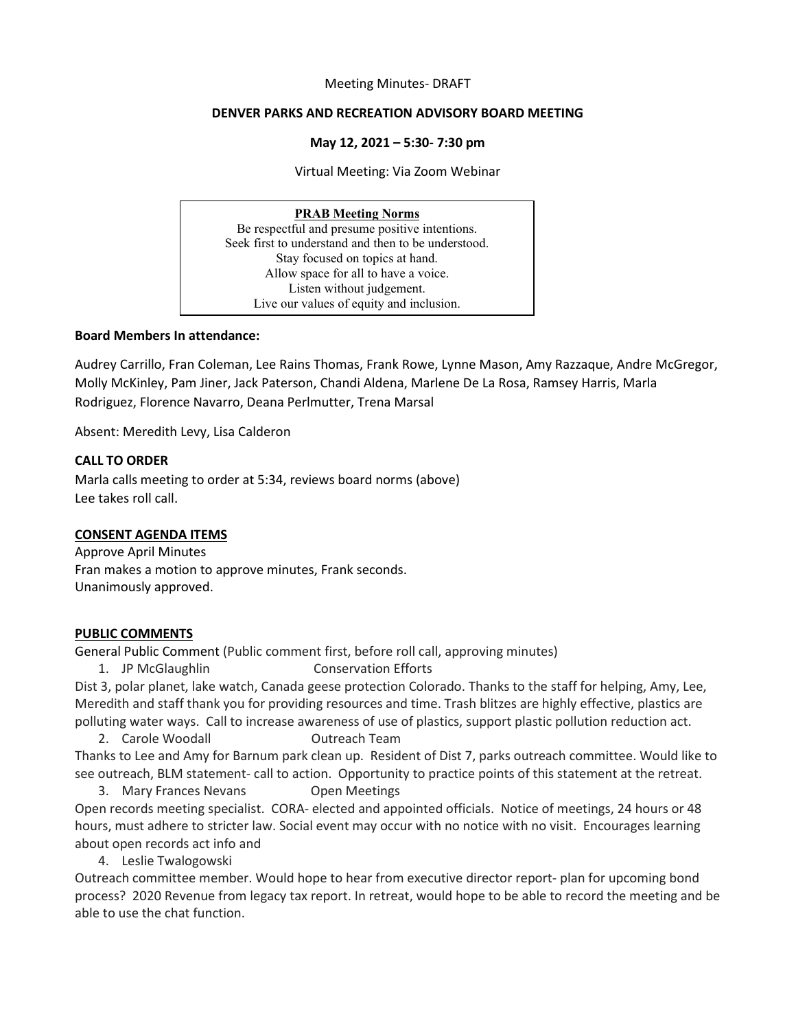#### Meeting Minutes- DRAFT

#### **DENVER PARKS AND RECREATION ADVISORY BOARD MEETING**

#### **May 12, 2021 – 5:30- 7:30 pm**

Virtual Meeting: Via Zoom Webinar

# **PRAB Meeting Norms**

Be respectful and presume positive intentions. Seek first to understand and then to be understood. Stay focused on topics at hand. Allow space for all to have a voice. Listen without judgement. Live our values of equity and inclusion.

#### **Board Members In attendance:**

Audrey Carrillo, Fran Coleman, Lee Rains Thomas, Frank Rowe, Lynne Mason, Amy Razzaque, Andre McGregor, Molly McKinley, Pam Jiner, Jack Paterson, Chandi Aldena, Marlene De La Rosa, Ramsey Harris, Marla Rodriguez, Florence Navarro, Deana Perlmutter, Trena Marsal

Absent: Meredith Levy, Lisa Calderon

## **CALL TO ORDER**

Marla calls meeting to order at 5:34, reviews board norms (above) Lee takes roll call.

## **CONSENT AGENDA ITEMS**

Approve April Minutes Fran makes a motion to approve minutes, Frank seconds. Unanimously approved.

## **PUBLIC COMMENTS**

General Public Comment (Public comment first, before roll call, approving minutes)

1. JP McGlaughlin Conservation Efforts

Dist 3, polar planet, lake watch, Canada geese protection Colorado. Thanks to the staff for helping, Amy, Lee, Meredith and staff thank you for providing resources and time. Trash blitzes are highly effective, plastics are polluting water ways. Call to increase awareness of use of plastics, support plastic pollution reduction act.

2. Carole Woodall **Carole Woodall Carole Outreach Team** 

Thanks to Lee and Amy for Barnum park clean up. Resident of Dist 7, parks outreach committee. Would like to see outreach, BLM statement- call to action. Opportunity to practice points of this statement at the retreat.

3. Mary Frances Nevans Open Meetings Open records meeting specialist. CORA- elected and appointed officials. Notice of meetings, 24 hours or 48 hours, must adhere to stricter law. Social event may occur with no notice with no visit. Encourages learning about open records act info and

4. Leslie Twalogowski

Outreach committee member. Would hope to hear from executive director report- plan for upcoming bond process? 2020 Revenue from legacy tax report. In retreat, would hope to be able to record the meeting and be able to use the chat function.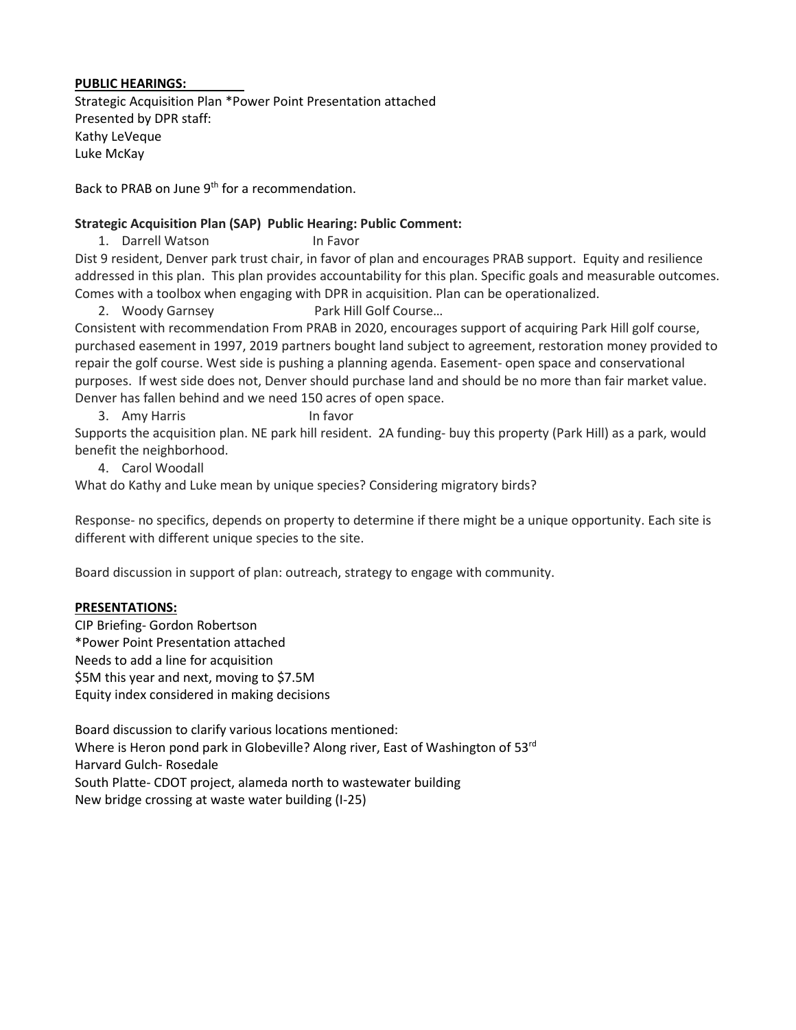## **PUBLIC HEARINGS:**

Strategic Acquisition Plan \*Power Point Presentation attached Presented by DPR staff: Kathy LeVeque Luke McKay

Back to PRAB on June 9th for a recommendation.

# **Strategic Acquisition Plan (SAP) Public Hearing: Public Comment:**

1. Darrell Watson In Favor

Dist 9 resident, Denver park trust chair, in favor of plan and encourages PRAB support. Equity and resilience addressed in this plan. This plan provides accountability for this plan. Specific goals and measurable outcomes. Comes with a toolbox when engaging with DPR in acquisition. Plan can be operationalized.

2. Woody Garnsey Park Hill Golf Course...

Consistent with recommendation From PRAB in 2020, encourages support of acquiring Park Hill golf course, purchased easement in 1997, 2019 partners bought land subject to agreement, restoration money provided to repair the golf course. West side is pushing a planning agenda. Easement- open space and conservational purposes. If west side does not, Denver should purchase land and should be no more than fair market value. Denver has fallen behind and we need 150 acres of open space.

3. Amy Harris In favor

Supports the acquisition plan. NE park hill resident. 2A funding- buy this property (Park Hill) as a park, would benefit the neighborhood.

4. Carol Woodall

What do Kathy and Luke mean by unique species? Considering migratory birds?

Response- no specifics, depends on property to determine if there might be a unique opportunity. Each site is different with different unique species to the site.

Board discussion in support of plan: outreach, strategy to engage with community.

## **PRESENTATIONS:**

CIP Briefing- Gordon Robertson \*Power Point Presentation attached Needs to add a line for acquisition \$5M this year and next, moving to \$7.5M Equity index considered in making decisions

Board discussion to clarify various locations mentioned: Where is Heron pond park in Globeville? Along river, East of Washington of 53rd Harvard Gulch- Rosedale South Platte- CDOT project, alameda north to wastewater building New bridge crossing at waste water building (I-25)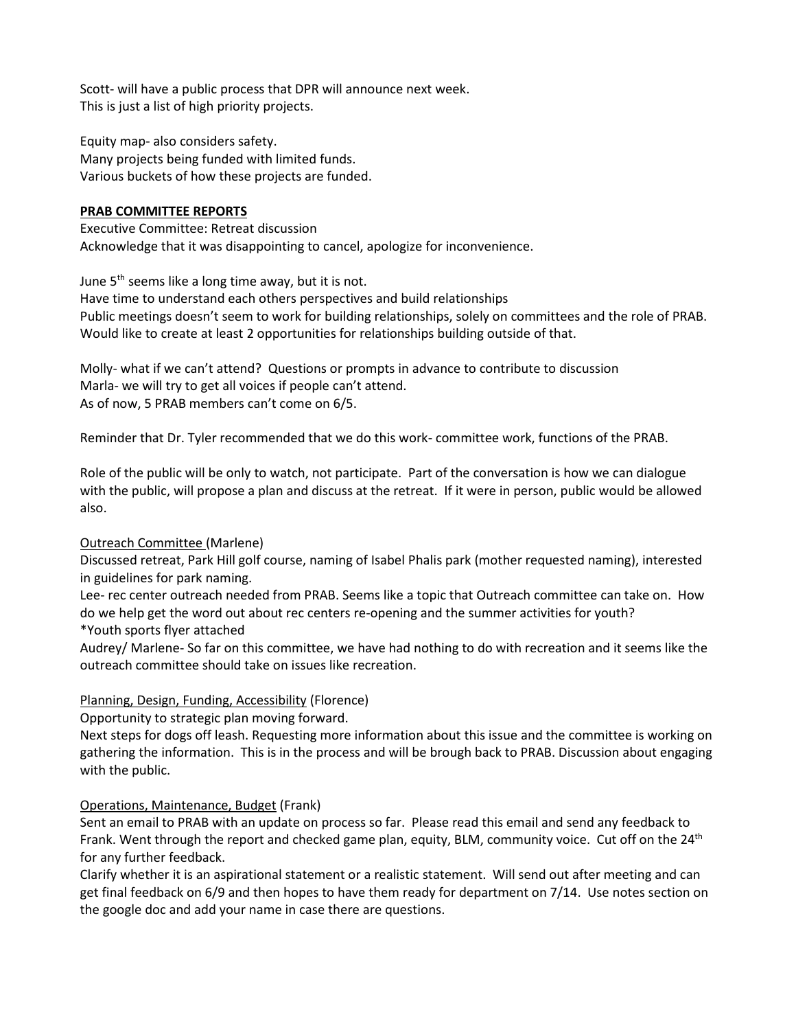Scott- will have a public process that DPR will announce next week. This is just a list of high priority projects.

Equity map- also considers safety. Many projects being funded with limited funds. Various buckets of how these projects are funded.

# **PRAB COMMITTEE REPORTS**

Executive Committee: Retreat discussion Acknowledge that it was disappointing to cancel, apologize for inconvenience.

June  $5<sup>th</sup>$  seems like a long time away, but it is not.

Have time to understand each others perspectives and build relationships Public meetings doesn't seem to work for building relationships, solely on committees and the role of PRAB. Would like to create at least 2 opportunities for relationships building outside of that.

Molly- what if we can't attend? Questions or prompts in advance to contribute to discussion Marla- we will try to get all voices if people can't attend. As of now, 5 PRAB members can't come on 6/5.

Reminder that Dr. Tyler recommended that we do this work- committee work, functions of the PRAB.

Role of the public will be only to watch, not participate. Part of the conversation is how we can dialogue with the public, will propose a plan and discuss at the retreat. If it were in person, public would be allowed also.

## Outreach Committee (Marlene)

Discussed retreat, Park Hill golf course, naming of Isabel Phalis park (mother requested naming), interested in guidelines for park naming.

Lee- rec center outreach needed from PRAB. Seems like a topic that Outreach committee can take on. How do we help get the word out about rec centers re-opening and the summer activities for youth? \*Youth sports flyer attached

Audrey/ Marlene- So far on this committee, we have had nothing to do with recreation and it seems like the outreach committee should take on issues like recreation.

# Planning, Design, Funding, Accessibility (Florence)

Opportunity to strategic plan moving forward.

Next steps for dogs off leash. Requesting more information about this issue and the committee is working on gathering the information. This is in the process and will be brough back to PRAB. Discussion about engaging with the public.

# Operations, Maintenance, Budget (Frank)

Sent an email to PRAB with an update on process so far. Please read this email and send any feedback to Frank. Went through the report and checked game plan, equity, BLM, community voice. Cut off on the  $24<sup>th</sup>$ for any further feedback.

Clarify whether it is an aspirational statement or a realistic statement. Will send out after meeting and can get final feedback on 6/9 and then hopes to have them ready for department on 7/14. Use notes section on the google doc and add your name in case there are questions.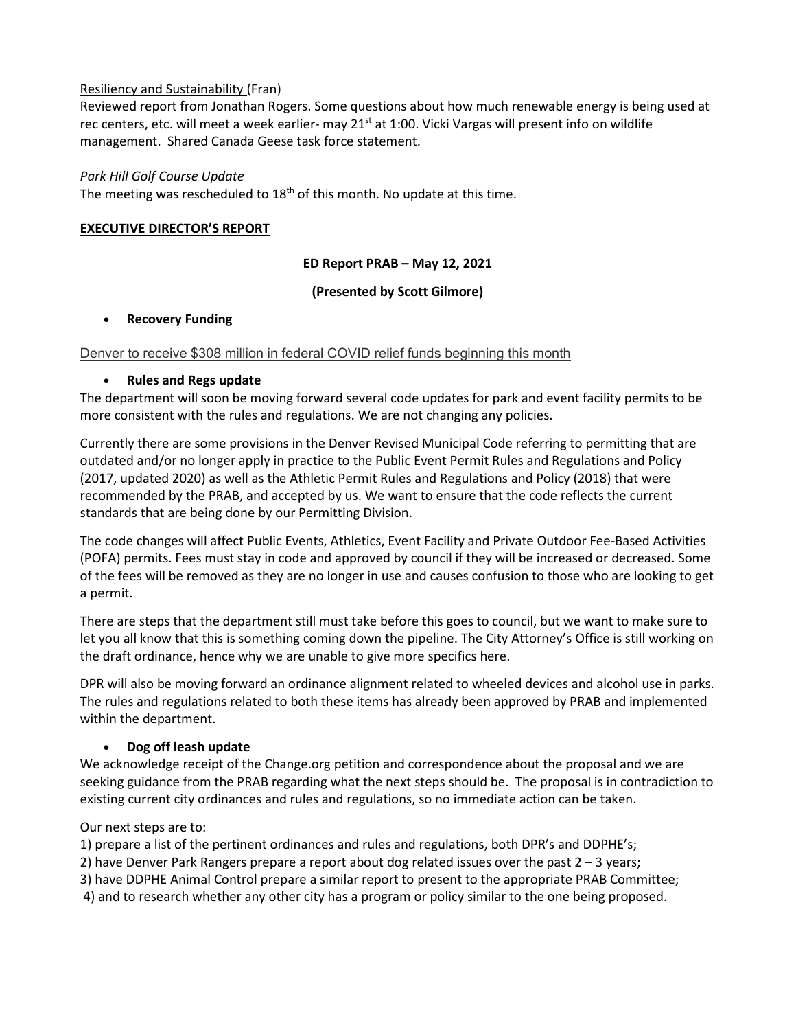# Resiliency and Sustainability (Fran)

Reviewed report from Jonathan Rogers. Some questions about how much renewable energy is being used at rec centers, etc. will meet a week earlier- may 21<sup>st</sup> at 1:00. Vicki Vargas will present info on wildlife management. Shared Canada Geese task force statement.

# *Park Hill Golf Course Update*

The meeting was rescheduled to  $18<sup>th</sup>$  of this month. No update at this time.

# **EXECUTIVE DIRECTOR'S REPORT**

# **ED Report PRAB – May 12, 2021**

# **(Presented by Scott Gilmore)**

## • **Recovery Funding**

# [Denver to receive \\$308 million in federal COVID relief funds beginning this month](https://urldefense.com/v3/__https:/t.e2ma.net/click/9jkifd/hy0i4c/9b2uer__;!!M87Ej6RJKlw!E1KYkWgkdqvujJwBtfRE2wurwYMLw9mD4llphFwcRJ5c6CH6rs7HkMx9rmLV6RGu82xkgHY$)

# • **Rules and Regs update**

The department will soon be moving forward several code updates for park and event facility permits to be more consistent with the rules and regulations. We are not changing any policies.

Currently there are some provisions in the Denver Revised Municipal Code referring to permitting that are outdated and/or no longer apply in practice to the Public Event Permit Rules and Regulations and Policy (2017, updated 2020) as well as the Athletic Permit Rules and Regulations and Policy (2018) that were recommended by the PRAB, and accepted by us. We want to ensure that the code reflects the current standards that are being done by our Permitting Division.

The code changes will affect Public Events, Athletics, Event Facility and Private Outdoor Fee-Based Activities (POFA) permits. Fees must stay in code and approved by council if they will be increased or decreased. Some of the fees will be removed as they are no longer in use and causes confusion to those who are looking to get a permit.

There are steps that the department still must take before this goes to council, but we want to make sure to let you all know that this is something coming down the pipeline. The City Attorney's Office is still working on the draft ordinance, hence why we are unable to give more specifics here.

DPR will also be moving forward an ordinance alignment related to wheeled devices and alcohol use in parks. The rules and regulations related to both these items has already been approved by PRAB and implemented within the department.

# • **Dog off leash update**

We acknowledge receipt of the Change.org petition and correspondence about the proposal and we are seeking guidance from the PRAB regarding what the next steps should be. The proposal is in contradiction to existing current city ordinances and rules and regulations, so no immediate action can be taken.

## Our next steps are to:

1) prepare a list of the pertinent ordinances and rules and regulations, both DPR's and DDPHE's;

- 2) have Denver Park Rangers prepare a report about dog related issues over the past 2 3 years;
- 3) have DDPHE Animal Control prepare a similar report to present to the appropriate PRAB Committee;
- 4) and to research whether any other city has a program or policy similar to the one being proposed.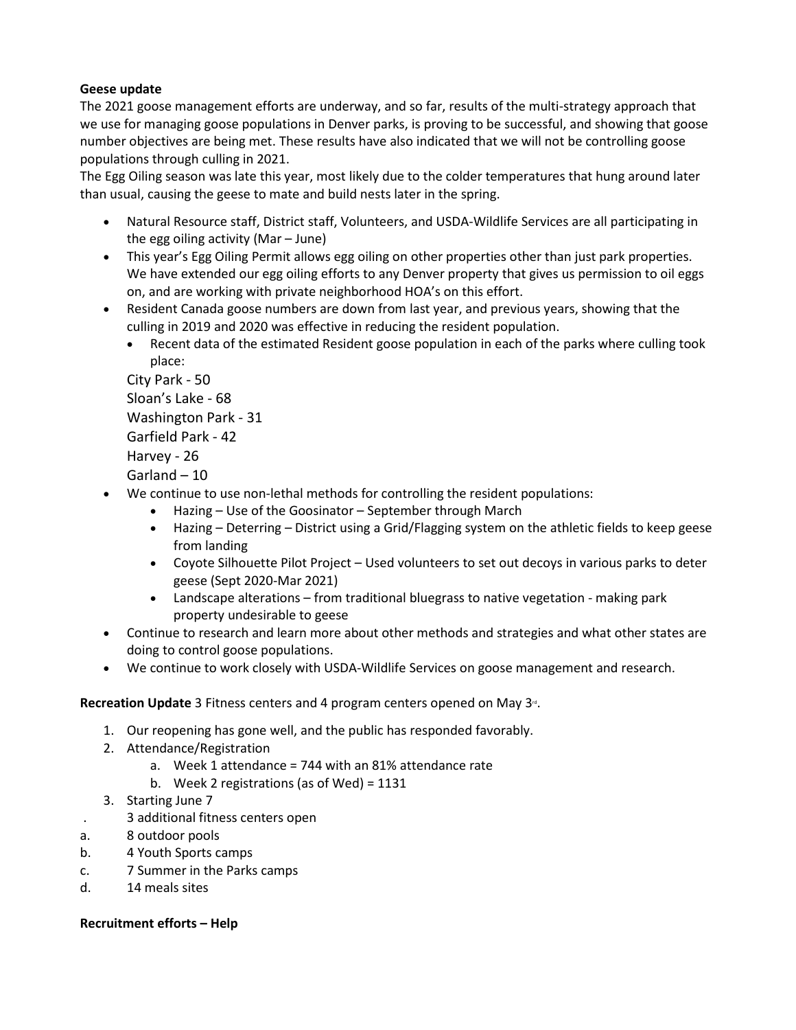# **Geese update**

The 2021 goose management efforts are underway, and so far, results of the multi-strategy approach that we use for managing goose populations in Denver parks, is proving to be successful, and showing that goose number objectives are being met. These results have also indicated that we will not be controlling goose populations through culling in 2021.

The Egg Oiling season was late this year, most likely due to the colder temperatures that hung around later than usual, causing the geese to mate and build nests later in the spring.

- Natural Resource staff, District staff, Volunteers, and USDA-Wildlife Services are all participating in the egg oiling activity (Mar – June)
- This year's Egg Oiling Permit allows egg oiling on other properties other than just park properties. We have extended our egg oiling efforts to any Denver property that gives us permission to oil eggs on, and are working with private neighborhood HOA's on this effort.
- Resident Canada goose numbers are down from last year, and previous years, showing that the culling in 2019 and 2020 was effective in reducing the resident population.
	- Recent data of the estimated Resident goose population in each of the parks where culling took place:

City Park - 50 Sloan's Lake - 68 Washington Park - 31 Garfield Park - 42 Harvey - 26 Garland – 10

- We continue to use non-lethal methods for controlling the resident populations:
	- Hazing Use of the Goosinator September through March
	- Hazing Deterring District using a Grid/Flagging system on the athletic fields to keep geese from landing
	- Coyote Silhouette Pilot Project Used volunteers to set out decoys in various parks to deter geese (Sept 2020-Mar 2021)
	- Landscape alterations from traditional bluegrass to native vegetation making park property undesirable to geese
- Continue to research and learn more about other methods and strategies and what other states are doing to control goose populations.
- We continue to work closely with USDA-Wildlife Services on goose management and research.

# **Recreation Update** 3 Fitness centers and 4 program centers opened on May 3<sup>n</sup>.

- 1. Our reopening has gone well, and the public has responded favorably.
- 2. Attendance/Registration
	- a. Week 1 attendance = 744 with an 81% attendance rate
	- b. Week 2 registrations (as of Wed) = 1131
- 3. Starting June 7
- . 3 additional fitness centers open
- a. 8 outdoor pools
- b. 4 Youth Sports camps
- c. 7 Summer in the Parks camps
- d. 14 meals sites

## **Recruitment efforts – Help**